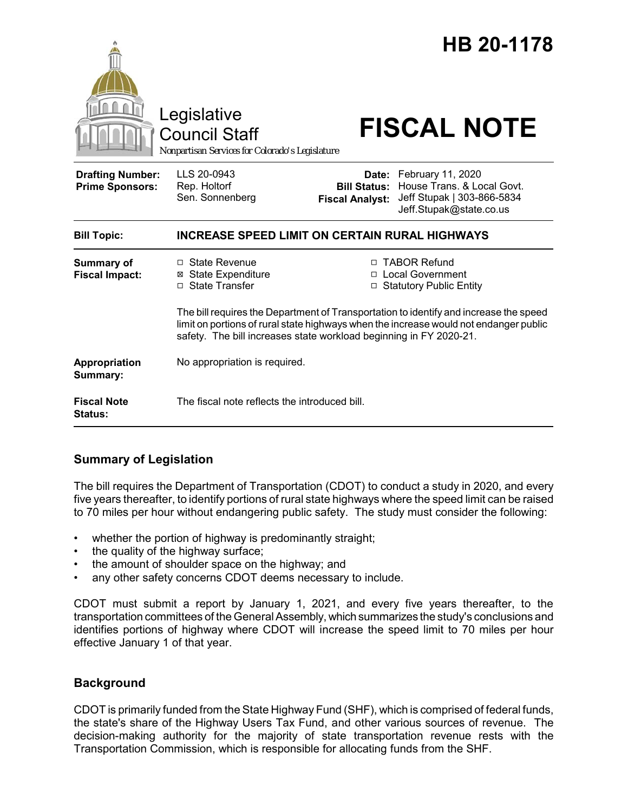|                                                   | Legislative<br><b>Council Staff</b><br>Nonpartisan Services for Colorado's Legislature                                                                                                                                                               |                                                                                   | HB 20-1178<br><b>FISCAL NOTE</b>                                                                               |
|---------------------------------------------------|------------------------------------------------------------------------------------------------------------------------------------------------------------------------------------------------------------------------------------------------------|-----------------------------------------------------------------------------------|----------------------------------------------------------------------------------------------------------------|
| <b>Drafting Number:</b><br><b>Prime Sponsors:</b> | LLS 20-0943<br>Rep. Holtorf<br>Sen. Sonnenberg                                                                                                                                                                                                       | <b>Bill Status:</b><br><b>Fiscal Analyst:</b>                                     | Date: February 11, 2020<br>House Trans. & Local Govt.<br>Jeff Stupak   303-866-5834<br>Jeff.Stupak@state.co.us |
| <b>Bill Topic:</b>                                | <b>INCREASE SPEED LIMIT ON CERTAIN RURAL HIGHWAYS</b>                                                                                                                                                                                                |                                                                                   |                                                                                                                |
| <b>Summary of</b><br><b>Fiscal Impact:</b>        | □ State Revenue<br><b>State Expenditure</b><br>⊠<br>□ State Transfer                                                                                                                                                                                 | <b>TABOR Refund</b><br>П.<br><b>Local Government</b><br>□ Statutory Public Entity |                                                                                                                |
|                                                   | The bill requires the Department of Transportation to identify and increase the speed<br>limit on portions of rural state highways when the increase would not endanger public<br>safety. The bill increases state workload beginning in FY 2020-21. |                                                                                   |                                                                                                                |
| Appropriation<br>Summary:                         | No appropriation is required.                                                                                                                                                                                                                        |                                                                                   |                                                                                                                |
| <b>Fiscal Note</b><br><b>Status:</b>              | The fiscal note reflects the introduced bill.                                                                                                                                                                                                        |                                                                                   |                                                                                                                |

## **Summary of Legislation**

The bill requires the Department of Transportation (CDOT) to conduct a study in 2020, and every five years thereafter, to identify portions of rural state highways where the speed limit can be raised to 70 miles per hour without endangering public safety. The study must consider the following:

- whether the portion of highway is predominantly straight;
- the quality of the highway surface;
- the amount of shoulder space on the highway; and
- any other safety concerns CDOT deems necessary to include.

CDOT must submit a report by January 1, 2021, and every five years thereafter, to the transportation committees of the General Assembly, which summarizes the study's conclusions and identifies portions of highway where CDOT will increase the speed limit to 70 miles per hour effective January 1 of that year.

### **Background**

CDOT is primarily funded from the State Highway Fund (SHF), which is comprised of federal funds, the state's share of the Highway Users Tax Fund, and other various sources of revenue. The decision-making authority for the majority of state transportation revenue rests with the Transportation Commission, which is responsible for allocating funds from the SHF.